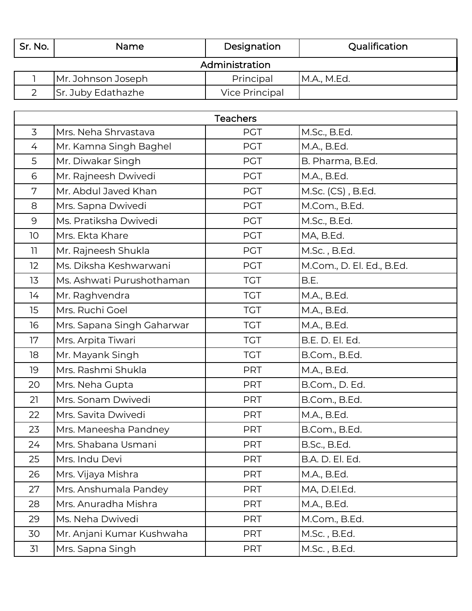| Sr. No.        | Name               | Designation           | Qualification |  |  |
|----------------|--------------------|-----------------------|---------------|--|--|
| Administration |                    |                       |               |  |  |
|                | Mr. Johnson Joseph | Principal             | M.A., M.Ed.   |  |  |
|                | Sr. Juby Edathazhe | <b>Vice Principal</b> |               |  |  |

| <b>Teachers</b> |                            |            |                           |  |
|-----------------|----------------------------|------------|---------------------------|--|
| 3               | Mrs. Neha Shrvastava       | <b>PGT</b> | M.Sc., B.Ed.              |  |
| 4               | Mr. Kamna Singh Baghel     | <b>PGT</b> | M.A., B.Ed.               |  |
| 5               | Mr. Diwakar Singh          | <b>PGT</b> | B. Pharma, B.Ed.          |  |
| 6               | Mr. Rajneesh Dwivedi       | <b>PGT</b> | M.A., B.Ed.               |  |
| 7               | Mr. Abdul Javed Khan       | <b>PGT</b> | M.Sc. (CS), B.Ed.         |  |
| 8               | Mrs. Sapna Dwivedi         | <b>PGT</b> | M.Com., B.Ed.             |  |
| 9               | Ms. Pratiksha Dwivedi      | <b>PGT</b> | M.Sc., B.Ed.              |  |
| 10              | Mrs. Ekta Khare            | <b>PGT</b> | MA, B.Ed.                 |  |
| 11              | Mr. Rajneesh Shukla        | <b>PGT</b> | M.Sc., B.Ed.              |  |
| 12              | Ms. Diksha Keshwarwani     | <b>PGT</b> | M.Com., D. El. Ed., B.Ed. |  |
| 13              | Ms. Ashwati Purushothaman  | <b>TGT</b> | B.E.                      |  |
| 14              | Mr. Raghvendra             | <b>TGT</b> | M.A., B.Ed.               |  |
| 15              | Mrs. Ruchi Goel            | <b>TGT</b> | M.A., B.Ed.               |  |
| 16              | Mrs. Sapana Singh Gaharwar | <b>TGT</b> | M.A., B.Ed.               |  |
| 17              | Mrs. Arpita Tiwari         | <b>TGT</b> | B.E. D. El. Ed.           |  |
| 18              | Mr. Mayank Singh           | <b>TGT</b> | B.Com., B.Ed.             |  |
| 19              | Mrs. Rashmi Shukla         | <b>PRT</b> | M.A., B.Ed.               |  |
| 20              | Mrs. Neha Gupta            | <b>PRT</b> | B.Com., D. Ed.            |  |
| 21              | Mrs. Sonam Dwivedi         | <b>PRT</b> | B.Com., B.Ed.             |  |
| 22              | Mrs. Savita Dwivedi        | <b>PRT</b> | M.A., B.Ed.               |  |
| 23              | Mrs. Maneesha Pandney      | <b>PRT</b> | B.Com., B.Ed.             |  |
| 24              | Mrs. Shabana Usmani        | <b>PRT</b> | B.Sc., B.Ed.              |  |
| 25              | Mrs. Indu Devi             | <b>PRT</b> | B.A. D. El. Ed.           |  |
| 26              | Mrs. Vijaya Mishra         | <b>PRT</b> | M.A., B.Ed.               |  |
| 27              | Mrs. Anshumala Pandey      | <b>PRT</b> | MA, D.El.Ed.              |  |
| 28              | Mrs. Anuradha Mishra       | <b>PRT</b> | M.A., B.Ed.               |  |
| 29              | Ms. Neha Dwivedi           | <b>PRT</b> | M.Com., B.Ed.             |  |
| 30              | Mr. Anjani Kumar Kushwaha  | <b>PRT</b> | M.Sc., B.Ed.              |  |
| 31              | Mrs. Sapna Singh           | <b>PRT</b> | M.Sc., B.Ed.              |  |